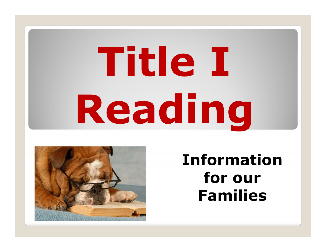# **Title I** Reading



Information for our Families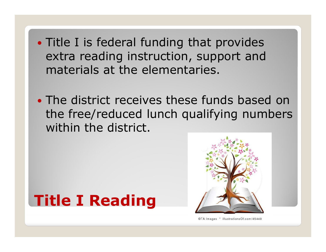- Title I is federal funding that provides extra reading instruction, support and materials at the elementaries.
- The district receives these funds based on the free/reduced lunch qualifying numbers within the district.

## Title I Reading



@TA Images \* illustrationsOf.com/45449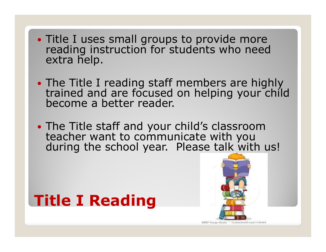- Title I uses small groups to provide more reading instruction for students who need extra help.
- The Title I reading staff members are highly trained and are focused on helping your child become a better reader.
- The Title staff and your child's classroom teacher want to communicate with you during the school year. Please talk with us!

# Title I Reading



**CBNP Design Shatio** illustrationsOf.com/1145444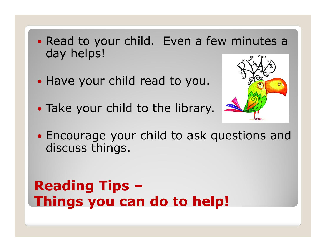- Read to your child. Even a few minutes a day helps!
- Have your child read to you.
- Take your child to the library.



 Encourage your child to ask questions and discuss things.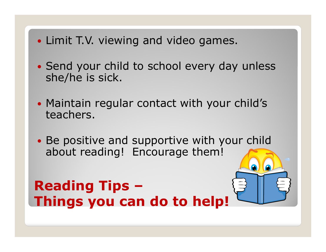- Limit T.V. viewing and video games.
- Send your child to school every day unless she/he is sick.
- Maintain regular contact with your child's teachers.
- Be positive and supportive with your child about reading! Encourage them!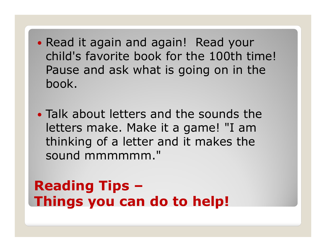- Read it again and again! Read your child's favorite book for the 100th time! Pause and ask what is going on in the book.
- Talk about letters and the sounds the letters make. Make it a game! "I am thinking of a letter and it makes the sound mmmmmm."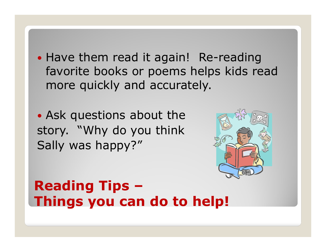• Have them read it again! Re-reading favorite books or poems helps kids read more quickly and accurately.

 Ask questions about the story. "Why do you think Sally was happy?"

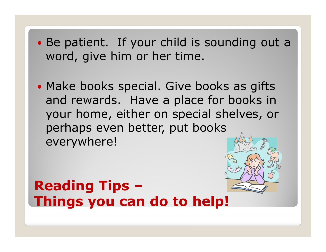- Be patient. If your child is sounding out a word, give him or her time.
- Make books special. Give books as gifts and rewards. Have a place for books in your home, either on special shelves, or perhaps even better, put books everywhere!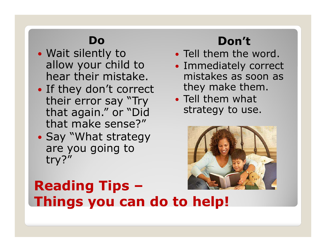#### Do

- Wait silently to allow your child to hear their mistake.
- If they don't correct their error say "Try that again." or "Did that make sense?"
- Say "What strategy are you going to try?"

## Don't

- Tell them the word.
- Immediately correct mistakes as soon as they make them.
- Tell them what strategy to use.

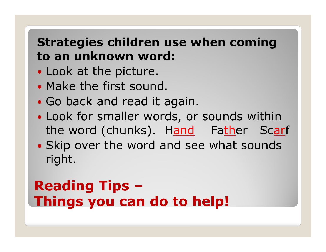### Strategies children use when coming to an unknown word:

- Look at the picture.
- Make the first sound.
- Go back and read it again.
- Look for smaller words, or sounds within the word (chunks). Hand Father Scarf
- Skip over the word and see what sounds right.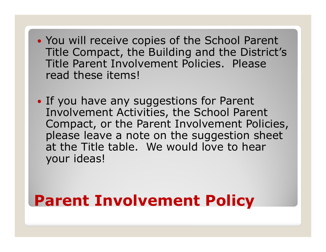- You will receive copies of the School Parent Title Compact, the Building and the District's Title Parent Involvement Policies. Please read these items!
- If you have any suggestions for Parent Involvement Activities, the School Parent Compact, or the Parent Involvement Policies, please leave a note on the suggestion sheet at the Title table. We would love to hear your ideas!

## Parent Involvement Policy